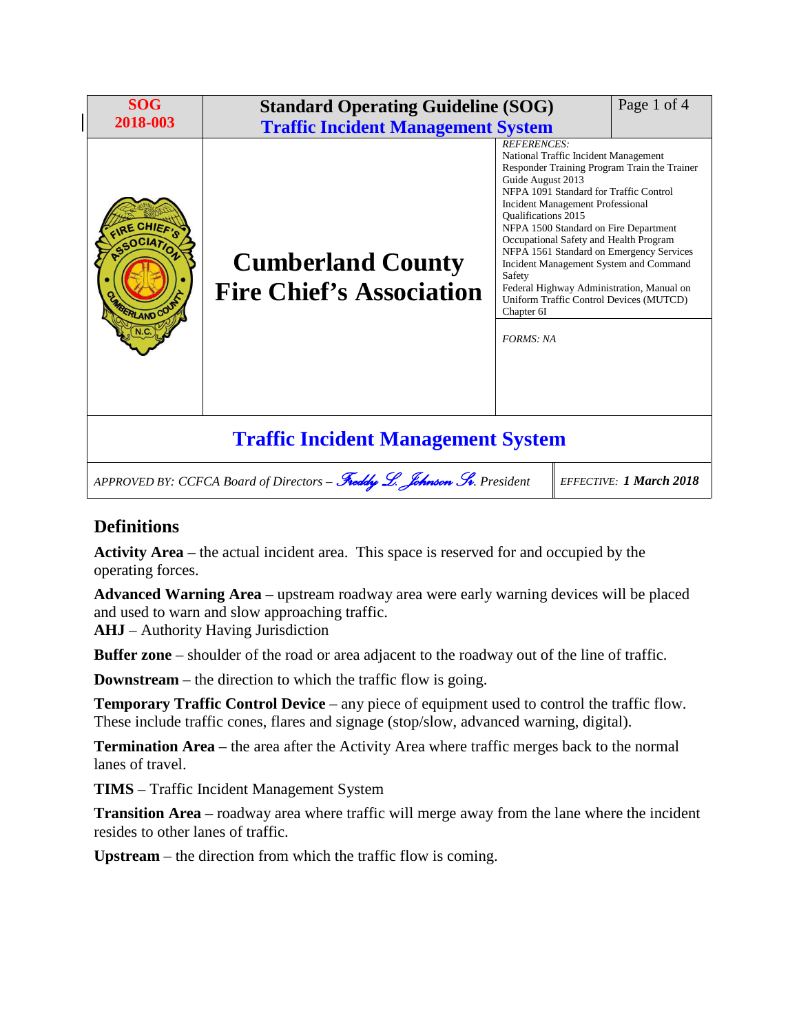| <b>SOG</b><br>2018-003                                                                                    | <b>Standard Operating Guideline (SOG)</b><br><b>Traffic Incident Management System</b> |                                                                                                                                                                                                                                                                                                                                                                                                                                                                                                                                                          | Page 1 of 4 |
|-----------------------------------------------------------------------------------------------------------|----------------------------------------------------------------------------------------|----------------------------------------------------------------------------------------------------------------------------------------------------------------------------------------------------------------------------------------------------------------------------------------------------------------------------------------------------------------------------------------------------------------------------------------------------------------------------------------------------------------------------------------------------------|-------------|
| <b>E CHIFF</b><br>FRIAND COU                                                                              | <b>Cumberland County</b><br><b>Fire Chief's Association</b>                            | <b>REFERENCES:</b><br>National Traffic Incident Management<br>Responder Training Program Train the Trainer<br>Guide August 2013<br>NFPA 1091 Standard for Traffic Control<br>Incident Management Professional<br><b>Oualifications 2015</b><br>NFPA 1500 Standard on Fire Department<br>Occupational Safety and Health Program<br>NFPA 1561 Standard on Emergency Services<br>Incident Management System and Command<br>Safety<br>Federal Highway Administration, Manual on<br>Uniform Traffic Control Devices (MUTCD)<br>Chapter 6I<br><b>FORMS: NA</b> |             |
| <b>Traffic Incident Management System</b>                                                                 |                                                                                        |                                                                                                                                                                                                                                                                                                                                                                                                                                                                                                                                                          |             |
| APPROVED BY: CCFCA Board of Directors - Freddy L. Johnson Sv. President<br><b>EFFECTIVE: 1 March 2018</b> |                                                                                        |                                                                                                                                                                                                                                                                                                                                                                                                                                                                                                                                                          |             |

# **Definitions**

**Activity Area** – the actual incident area. This space is reserved for and occupied by the operating forces.

**Advanced Warning Area** – upstream roadway area were early warning devices will be placed and used to warn and slow approaching traffic.

**AHJ** – Authority Having Jurisdiction

**Buffer zone** – shoulder of the road or area adjacent to the roadway out of the line of traffic.

**Downstream** – the direction to which the traffic flow is going.

**Temporary Traffic Control Device** – any piece of equipment used to control the traffic flow. These include traffic cones, flares and signage (stop/slow, advanced warning, digital).

**Termination Area** – the area after the Activity Area where traffic merges back to the normal lanes of travel.

**TIMS** – Traffic Incident Management System

**Transition Area** – roadway area where traffic will merge away from the lane where the incident resides to other lanes of traffic.

**Upstream** – the direction from which the traffic flow is coming.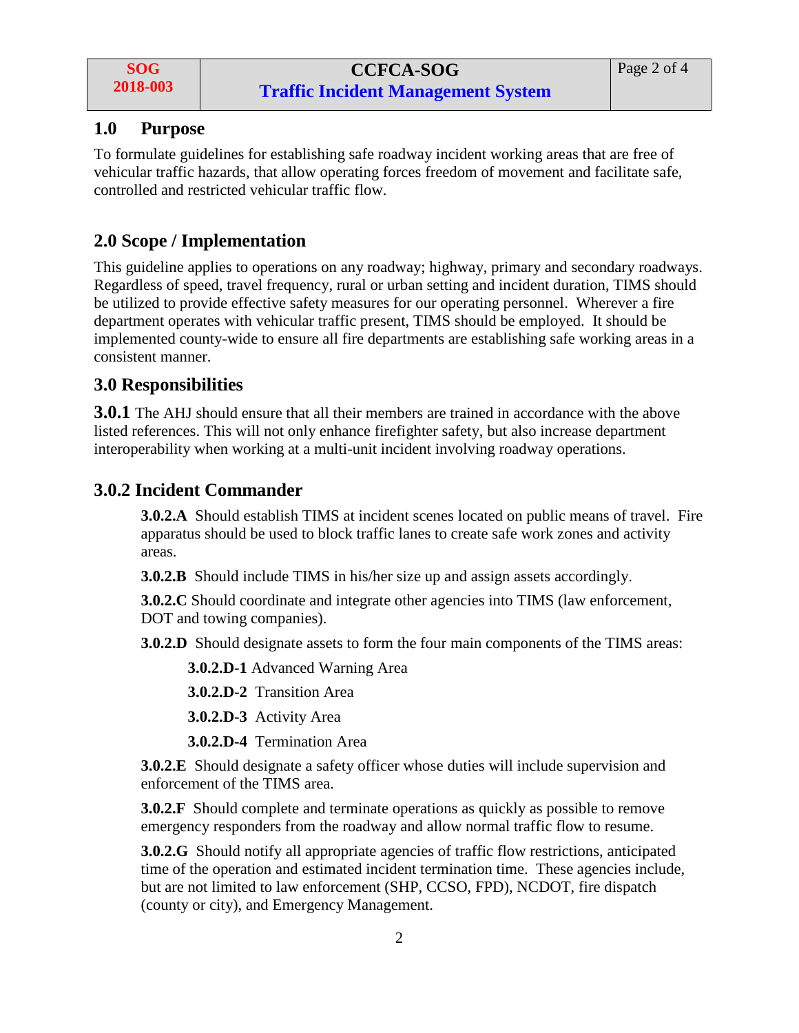## **1.0 Purpose**

To formulate guidelines for establishing safe roadway incident working areas that are free of vehicular traffic hazards, that allow operating forces freedom of movement and facilitate safe, controlled and restricted vehicular traffic flow.

## **2.0 Scope / Implementation**

This guideline applies to operations on any roadway; highway, primary and secondary roadways. Regardless of speed, travel frequency, rural or urban setting and incident duration, TIMS should be utilized to provide effective safety measures for our operating personnel. Wherever a fire department operates with vehicular traffic present, TIMS should be employed. It should be implemented county-wide to ensure all fire departments are establishing safe working areas in a consistent manner.

#### **3.0 Responsibilities**

**3.0.1** The AHJ should ensure that all their members are trained in accordance with the above listed references. This will not only enhance firefighter safety, but also increase department interoperability when working at a multi-unit incident involving roadway operations.

## **3.0.2 Incident Commander**

**3.0.2.A** Should establish TIMS at incident scenes located on public means of travel. Fire apparatus should be used to block traffic lanes to create safe work zones and activity areas.

**3.0.2.B** Should include TIMS in his/her size up and assign assets accordingly.

**3.0.2.C** Should coordinate and integrate other agencies into TIMS (law enforcement, DOT and towing companies).

**3.0.2.D** Should designate assets to form the four main components of the TIMS areas:

**3.0.2.D-1** Advanced Warning Area

**3.0.2.D-2** Transition Area

**3.0.2.D-3** Activity Area

**3.0.2.D-4** Termination Area

**3.0.2.E** Should designate a safety officer whose duties will include supervision and enforcement of the TIMS area.

**3.0.2.F** Should complete and terminate operations as quickly as possible to remove emergency responders from the roadway and allow normal traffic flow to resume.

**3.0.2.G** Should notify all appropriate agencies of traffic flow restrictions, anticipated time of the operation and estimated incident termination time. These agencies include, but are not limited to law enforcement (SHP, CCSO, FPD), NCDOT, fire dispatch (county or city), and Emergency Management.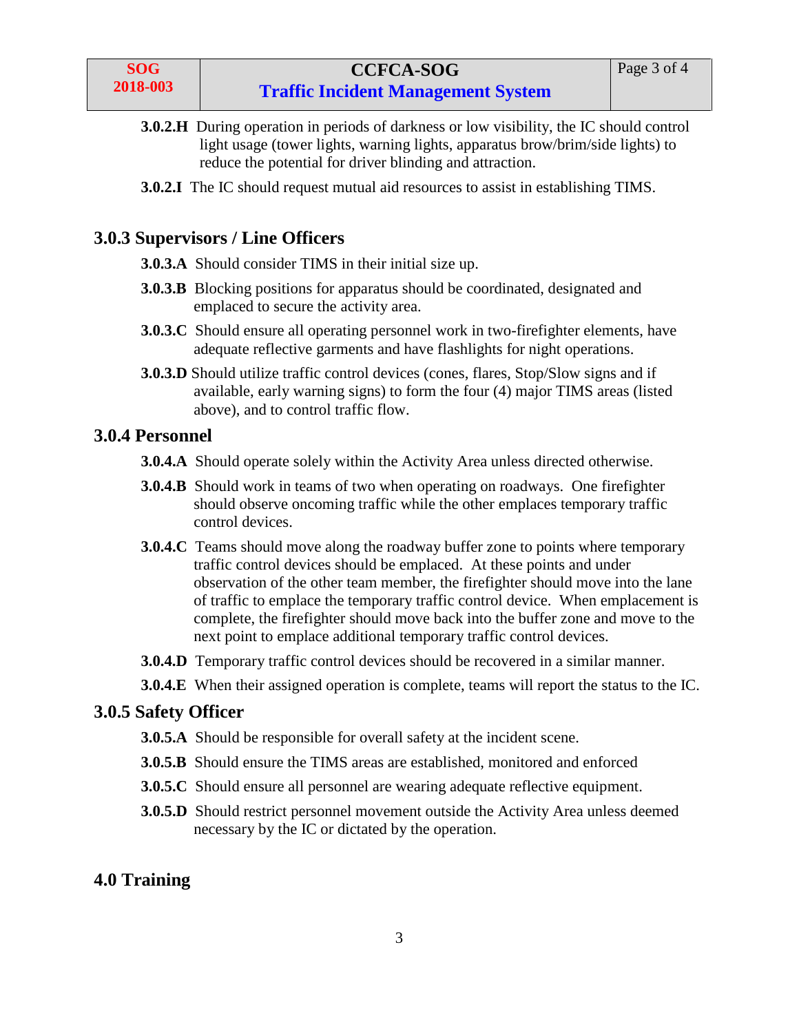- **3.0.2.H** During operation in periods of darkness or low visibility, the IC should control light usage (tower lights, warning lights, apparatus brow/brim/side lights) to reduce the potential for driver blinding and attraction.
- **3.0.2.I** The IC should request mutual aid resources to assist in establishing TIMS.

## **3.0.3 Supervisors / Line Officers**

- **3.0.3.A** Should consider TIMS in their initial size up.
- **3.0.3.B** Blocking positions for apparatus should be coordinated, designated and emplaced to secure the activity area.
- **3.0.3.C** Should ensure all operating personnel work in two-firefighter elements, have adequate reflective garments and have flashlights for night operations.
- **3.0.3.D** Should utilize traffic control devices (cones, flares, Stop/Slow signs and if available, early warning signs) to form the four (4) major TIMS areas (listed above), and to control traffic flow.

#### **3.0.4 Personnel**

- **3.0.4.A** Should operate solely within the Activity Area unless directed otherwise.
- **3.0.4.B** Should work in teams of two when operating on roadways. One firefighter should observe oncoming traffic while the other emplaces temporary traffic control devices.
- **3.0.4.C** Teams should move along the roadway buffer zone to points where temporary traffic control devices should be emplaced. At these points and under observation of the other team member, the firefighter should move into the lane of traffic to emplace the temporary traffic control device. When emplacement is complete, the firefighter should move back into the buffer zone and move to the next point to emplace additional temporary traffic control devices.
- **3.0.4.D** Temporary traffic control devices should be recovered in a similar manner.
- **3.0.4.E** When their assigned operation is complete, teams will report the status to the IC.

#### **3.0.5 Safety Officer**

- **3.0.5.A** Should be responsible for overall safety at the incident scene.
- **3.0.5.B** Should ensure the TIMS areas are established, monitored and enforced
- **3.0.5.C** Should ensure all personnel are wearing adequate reflective equipment.
- **3.0.5.D** Should restrict personnel movement outside the Activity Area unless deemed necessary by the IC or dictated by the operation.

## **4.0 Training**